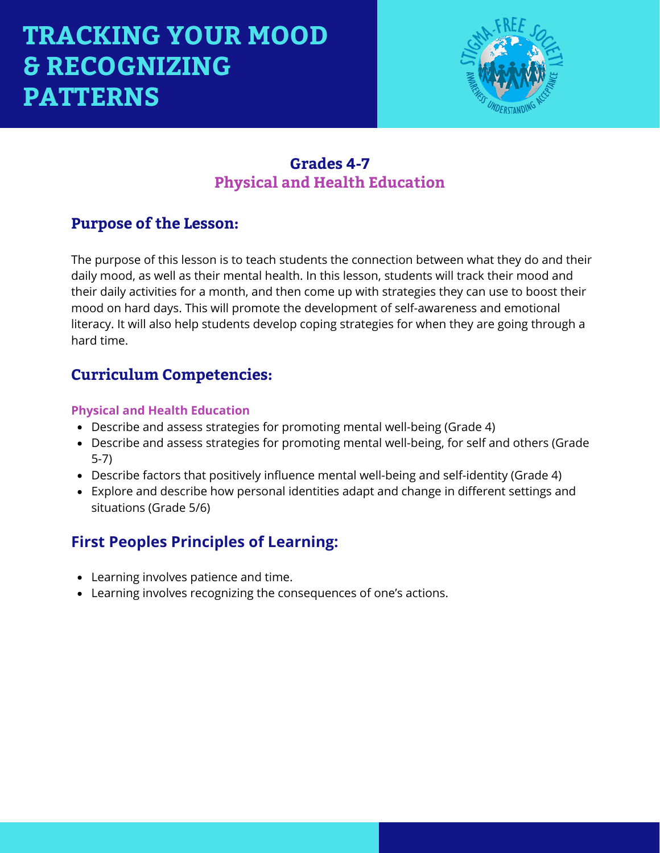

### **Grades 4-7 Physical and Health Education**

### **Purpose of the Lesson:**

The purpose of this lesson is to teach students the connection between what they do and their daily mood, as well as their mental health. In this lesson, students will track their mood and their daily activities for a month, and then come up with strategies they can use to boost their mood on hard days. This will promote the development of self-awareness and emotional literacy. It will also help students develop coping strategies for when they are going through a hard time.

### **Curriculum Competencies:**

#### **Physical and Health Education**

- Describe and assess strategies for promoting mental well-being (Grade 4)
- Describe and assess strategies for promoting mental well-being, for self and others (Grade 5-7)
- Describe factors that positively influence mental well-being and self-identity (Grade 4)
- Explore and describe how personal identities adapt and change in different settings and situations (Grade 5/6)

### **First Peoples Principles of Learning:**

- Learning involves patience and time.
- Learning involves recognizing the consequences of one's actions.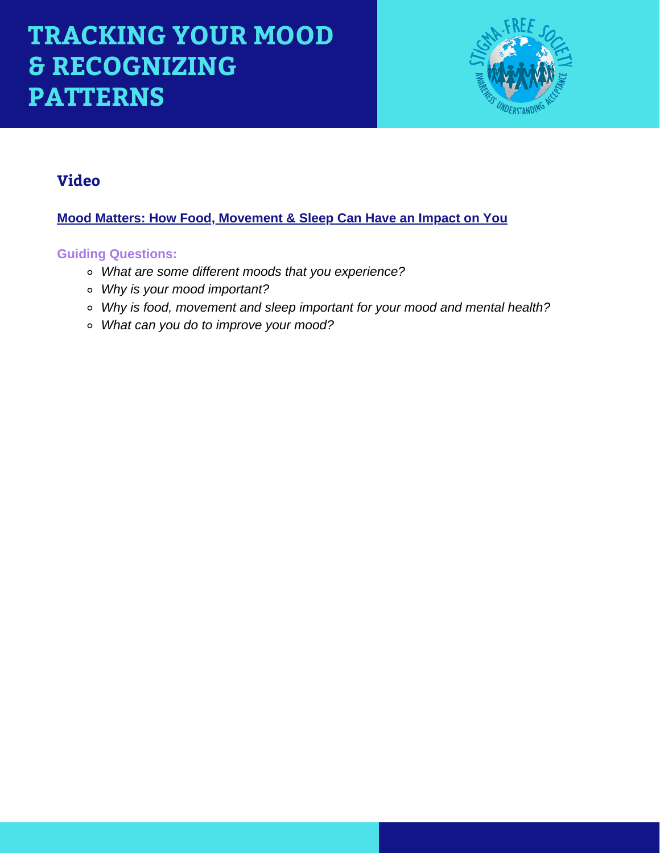

### **Video**

**[Mood Matters: How Food, Movement & Sleep Can Have an Impact on You](https://www.youtube.com/watch?v=qMnQFTy3t30&t=43s)**

### **Guiding Questions:**

- *What are some different moods that you experience?*
- *Why is your mood important?*
- *Why is food, movement and sleep important for your mood and mental health?*
- *What can you do to improve your mood?*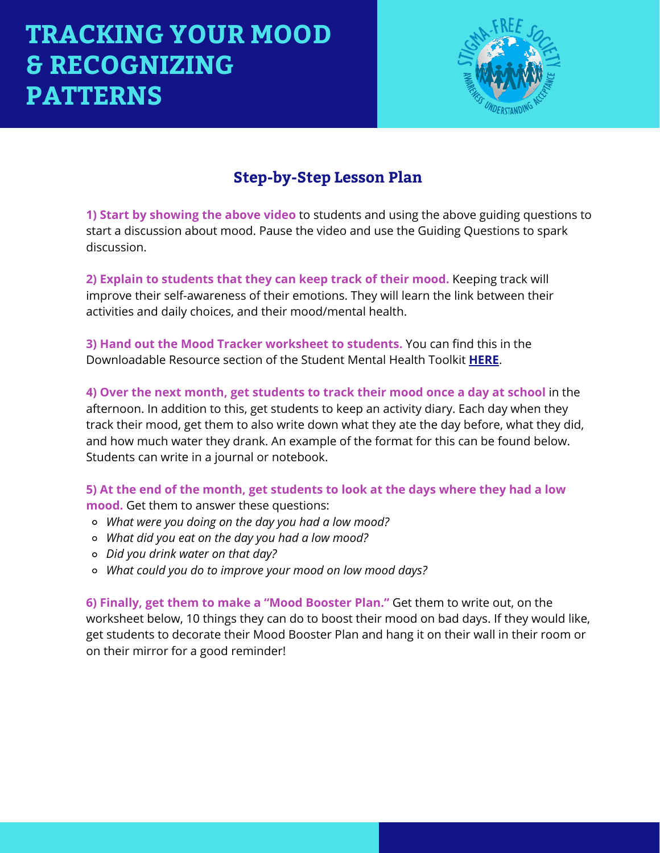

## **Step-by-Step Lesson Plan**

**1) Start by showing the above video** to students and using the above guiding questions to start a discussion about mood. Pause the video and use the Guiding Questions to spark discussion.

**2) Explain to students that they can keep track of their mood.** Keeping track will improve their self-awareness of their emotions. They will learn the link between their activities and daily choices, and their mood/mental health.

**3) Hand out the Mood Tracker worksheet to students.** You can find this in the Downloadable Resource section of the Student Mental Health Toolkit **[HERE](https://studentmentalhealthtoolkit.com/youth-corner/downloadable-resources/)**.

**4) Over the next month, get students to track their mood once a day at school** in the afternoon. In addition to this, get students to keep an activity diary. Each day when they track their mood, get them to also write down what they ate the day before, what they did, and how much water they drank. An example of the format for this can be found below. Students can write in a journal or notebook.

**5) At the end of the month, get students to look at the days where they had a low mood.** Get them to answer these questions:

- *What were you doing on the day you had a low mood?*
- *What did you eat on the day you had a low mood?*
- *Did you drink water on that day?*
- *What could you do to improve your mood on low mood days?*

**6) Finally, get them to make a "Mood Booster Plan."** Get them to write out, on the worksheet below, 10 things they can do to boost their mood on bad days. If they would like, get students to decorate their Mood Booster Plan and hang it on their wall in their room or on their mirror for a good reminder!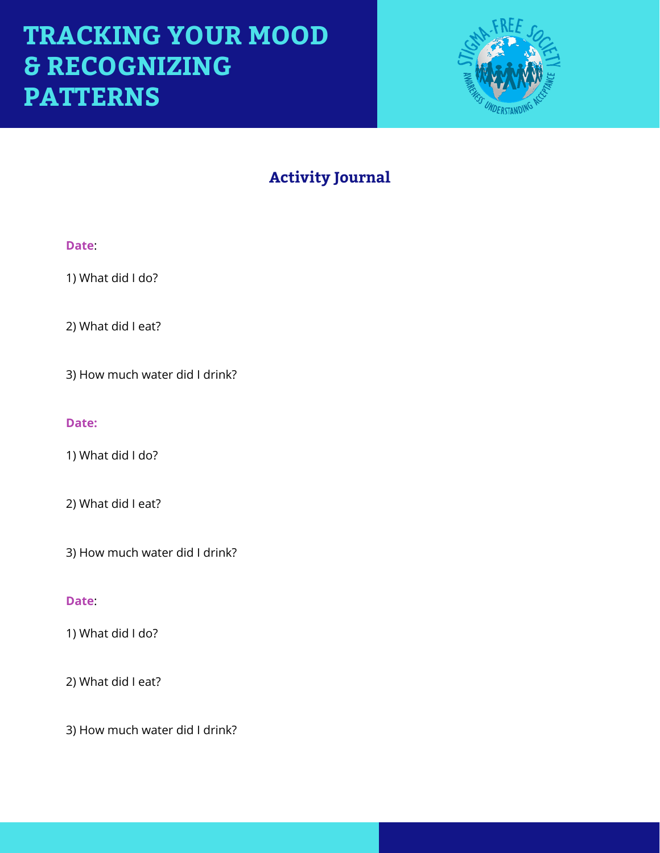

## **Activity Journal**

#### **Date**:

1) What did I do?

2) What did I eat?

3) How much water did I drink?

#### **Date:**

1) What did I do?

2) What did I eat?

3) How much water did I drink?

#### **Date**:

1) What did I do?

2) What did I eat?

3) How much water did I drink?